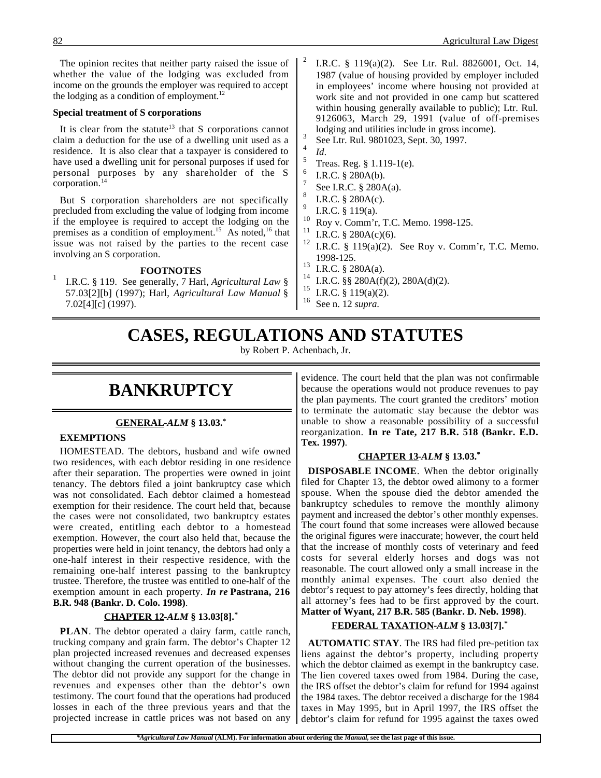The opinion recites that neither party raised the issue of whether the value of the lodging was excluded from income on the grounds the employer was required to accept the lodging as a condition of employment. $^{12}$ 

#### **Special treatment of S corporations**

It is clear from the statute<sup>13</sup> that S corporations cannot claim a deduction for the use of a dwelling unit used as a residence. It is also clear that a taxpayer is considered to have used a dwelling unit for personal purposes if used for personal purposes by any shareholder of the S corporation.<sup>14</sup>

But S corporation shareholders are not specifically precluded from excluding the value of lodging from income if the employee is required to accept the lodging on the premises as a condition of employment.<sup>15</sup> As noted,<sup>16</sup> that issue was not raised by the parties to the recent case involving an S corporation.

#### **FOOTNOTES**

<sup>1</sup> I.R.C. § 119. See generally, 7 Harl, *Agricultural Law* § 57.03[2][b] (1997); Harl, *Agricultural Law Manual* § 7.02[4][c] (1997).

- <sup>2</sup> I.R.C. § 119(a)(2). See Ltr. Rul. 8826001, Oct. 14, 1987 (value of housing provided by employer included in employees' income where housing not provided at work site and not provided in one camp but scattered within housing generally available to public); Ltr. Rul. 9126063, March 29, 1991 (value of off-premises lodging and utilities include in gross income).<br> $\frac{3}{14}$  See Ltr. Rul. 9801023, Sept. 30, 1997.
- 
- $\frac{4}{5}$  *Id.* Treas. Reg. § 1.119-1(e).
- I.R.C. § 280A(b).
- See I.R.C. § 280A(a).
- <sup>8</sup> I.R.C. § 280A(c).
- <sup>9</sup> I.R.C. § 119(a).
- <sup>10</sup> Roy v. Comm'r, T.C. Memo. 1998-125.
- <sup>11</sup> I.R.C. § 280A(c)(6).<br><sup>12</sup> I.D.C. § 110(c)(2).
- I.R.C.  $§$  119(a)(2). See Roy v. Comm'r, T.C. Memo. 1998-125.
- $13$  I.R.C. § 280A(a).
- <sup>14</sup> I.R.C. §§ 280A(f)(2), 280A(d)(2).<br><sup>15</sup> I.D.C. § 110(c)(2).
- <sup>15</sup> I.R.C. § 119(a)(2).<br><sup>16</sup> See p. 12 supra
- <sup>16</sup> See n. 12 *supra*.

## **CASES, REGULATIONS AND STATUTES**

by Robert P. Achenbach, Jr.

### **BANKRUPTCY**

#### **GENERAL -***ALM* **§ 13.03.\***

#### **EXEMPTIONS**

HOMESTEAD. The debtors, husband and wife owned two residences, with each debtor residing in one residence after their separation. The properties were owned in joint tenancy. The debtors filed a joint bankruptcy case which was not consolidated. Each debtor claimed a homestead exemption for their residence. The court held that, because the cases were not consolidated, two bankruptcy estates were created, entitling each debtor to a homestead exemption. However, the court also held that, because the properties were held in joint tenancy, the debtors had only a one-half interest in their respective residence, with the remaining one-half interest passing to the bankruptcy trustee. Therefore, the trustee was entitled to one-half of the exemption amount in each property. *In re* **Pastrana, 216 B.R. 948 (Bankr. D. Colo. 1998)**.

#### **CHAPTER 12 -***ALM* **§ 13.03[8].\***

**PLAN**. The debtor operated a dairy farm, cattle ranch, trucking company and grain farm. The debtor's Chapter 12 plan projected increased revenues and decreased expenses without changing the current operation of the businesses. The debtor did not provide any support for the change in revenues and expenses other than the debtor's own testimony. The court found that the operations had produced losses in each of the three previous years and that the projected increase in cattle prices was not based on any

evidence. The court held that the plan was not confirmable because the operations would not produce revenues to pay the plan payments. The court granted the creditors' motion to terminate the automatic stay because the debtor was unable to show a reasonable possibility of a successful reorganization. **In re Tate, 217 B.R. 518 (Bankr. E.D. Tex. 1997)**.

#### **CHAPTER 13 -***ALM* **§ 13.03.\***

**DISPOSABLE INCOME**. When the debtor originally filed for Chapter 13, the debtor owed alimony to a former spouse. When the spouse died the debtor amended the bankruptcy schedules to remove the monthly alimony payment and increased the debtor's other monthly expenses. The court found that some increases were allowed because the original figures were inaccurate; however, the court held that the increase of monthly costs of veterinary and feed costs for several elderly horses and dogs was not reasonable. The court allowed only a small increase in the monthly animal expenses. The court also denied the debtor's request to pay attorney's fees directly, holding that all attorney's fees had to be first approved by the court. **Matter of Wyant, 217 B.R. 585 (Bankr. D. Neb. 1998)**.

#### **FEDERAL TAXATION -***ALM* **§ 13.03[7].\***

**AUTOMATIC STAY**. The IRS had filed pre-petition tax liens against the debtor's property, including property which the debtor claimed as exempt in the bankruptcy case. The lien covered taxes owed from 1984. During the case, the IRS offset the debtor's claim for refund for 1994 against the 1984 taxes. The debtor received a discharge for the 1984 taxes in May 1995, but in April 1997, the IRS offset the debtor's claim for refund for 1995 against the taxes owed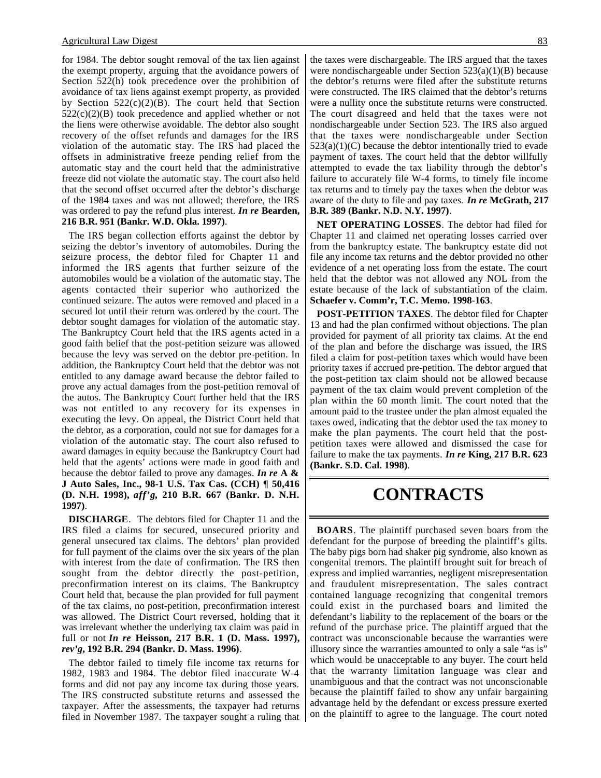for 1984. The debtor sought removal of the tax lien against the exempt property, arguing that the avoidance powers of Section 522(h) took precedence over the prohibition of avoidance of tax liens against exempt property, as provided by Section  $522(c)(2)(B)$ . The court held that Section  $522(c)(2)(B)$  took precedence and applied whether or not the liens were otherwise avoidable. The debtor also sought recovery of the offset refunds and damages for the IRS violation of the automatic stay. The IRS had placed the offsets in administrative freeze pending relief from the automatic stay and the court held that the administrative freeze did not violate the automatic stay. The court also held that the second offset occurred after the debtor's discharge of the 1984 taxes and was not allowed; therefore, the IRS was ordered to pay the refund plus interest. *In re* **Bearden, 216 B.R. 951 (Bankr. W.D. Okla. 1997)**.

The IRS began collection efforts against the debtor by seizing the debtor's inventory of automobiles. During the seizure process, the debtor filed for Chapter 11 and informed the IRS agents that further seizure of the automobiles would be a violation of the automatic stay. The agents contacted their superior who authorized the continued seizure. The autos were removed and placed in a secured lot until their return was ordered by the court. The debtor sought damages for violation of the automatic stay. The Bankruptcy Court held that the IRS agents acted in a good faith belief that the post-petition seizure was allowed because the levy was served on the debtor pre-petition. In addition, the Bankruptcy Court held that the debtor was not entitled to any damage award because the debtor failed to prove any actual damages from the post-petition removal of the autos. The Bankruptcy Court further held that the IRS was not entitled to any recovery for its expenses in executing the levy. On appeal, the District Court held that the debtor, as a corporation, could not sue for damages for a violation of the automatic stay. The court also refused to award damages in equity because the Bankruptcy Court had held that the agents' actions were made in good faith and because the debtor failed to prove any damages. *In re* **A & J Auto Sales, Inc., 98-1 U.S. Tax Cas. (CCH) ¶ 50,416 (D. N.H. 1998),** *aff'g***, 210 B.R. 667 (Bankr. D. N.H. 1997)**.

**DISCHARGE**. The debtors filed for Chapter 11 and the IRS filed a claims for secured, unsecured priority and general unsecured tax claims. The debtors' plan provided for full payment of the claims over the six years of the plan with interest from the date of confirmation. The IRS then sought from the debtor directly the post-petition, preconfirmation interest on its claims. The Bankruptcy Court held that, because the plan provided for full payment of the tax claims, no post-petition, preconfirmation interest was allowed. The District Court reversed, holding that it was irrelevant whether the underlying tax claim was paid in full or not *In re* **Heisson, 217 B.R. 1 (D. Mass. 1997),** *rev'g***, 192 B.R. 294 (Bankr. D. Mass. 1996)**.

The debtor failed to timely file income tax returns for 1982, 1983 and 1984. The debtor filed inaccurate W-4 forms and did not pay any income tax during those years. The IRS constructed substitute returns and assessed the taxpayer. After the assessments, the taxpayer had returns filed in November 1987. The taxpayer sought a ruling that the taxes were dischargeable. The IRS argued that the taxes were nondischargeable under Section 523(a)(1)(B) because the debtor's returns were filed after the substitute returns were constructed. The IRS claimed that the debtor's returns were a nullity once the substitute returns were constructed. The court disagreed and held that the taxes were not nondischargeable under Section 523. The IRS also argued that the taxes were nondischargeable under Section  $523(a)(1)(C)$  because the debtor intentionally tried to evade payment of taxes. The court held that the debtor willfully attempted to evade the tax liability through the debtor's failure to accurately file W-4 forms, to timely file income tax returns and to timely pay the taxes when the debtor was aware of the duty to file and pay taxes. *In re* **McGrath, 217 B.R. 389 (Bankr. N.D. N.Y. 1997)**.

**NET OPERATING LOSSES**. The debtor had filed for Chapter 11 and claimed net operating losses carried over from the bankruptcy estate. The bankruptcy estate did not file any income tax returns and the debtor provided no other evidence of a net operating loss from the estate. The court held that the debtor was not allowed any NOL from the estate because of the lack of substantiation of the claim. **Schaefer v. Comm'r, T.C. Memo. 1998-163**.

**POST-PETITION TAXES**. The debtor filed for Chapter 13 and had the plan confirmed without objections. The plan provided for payment of all priority tax claims. At the end of the plan and before the discharge was issued, the IRS filed a claim for post-petition taxes which would have been priority taxes if accrued pre-petition. The debtor argued that the post-petition tax claim should not be allowed because payment of the tax claim would prevent completion of the plan within the 60 month limit. The court noted that the amount paid to the trustee under the plan almost equaled the taxes owed, indicating that the debtor used the tax money to make the plan payments. The court held that the postpetition taxes were allowed and dismissed the case for failure to make the tax payments. *In re* **King, 217 B.R. 623 (Bankr. S.D. Cal. 1998)**.

### **CONTRACTS**

**BOARS**. The plaintiff purchased seven boars from the defendant for the purpose of breeding the plaintiff's gilts. The baby pigs born had shaker pig syndrome, also known as congenital tremors. The plaintiff brought suit for breach of express and implied warranties, negligent misrepresentation and fraudulent misrepresentation. The sales contract contained language recognizing that congenital tremors could exist in the purchased boars and limited the defendant's liability to the replacement of the boars or the refund of the purchase price. The plaintiff argued that the contract was unconscionable because the warranties were illusory since the warranties amounted to only a sale "as is" which would be unacceptable to any buyer. The court held that the warranty limitation language was clear and unambiguous and that the contract was not unconscionable because the plaintiff failed to show any unfair bargaining advantage held by the defendant or excess pressure exerted on the plaintiff to agree to the language. The court noted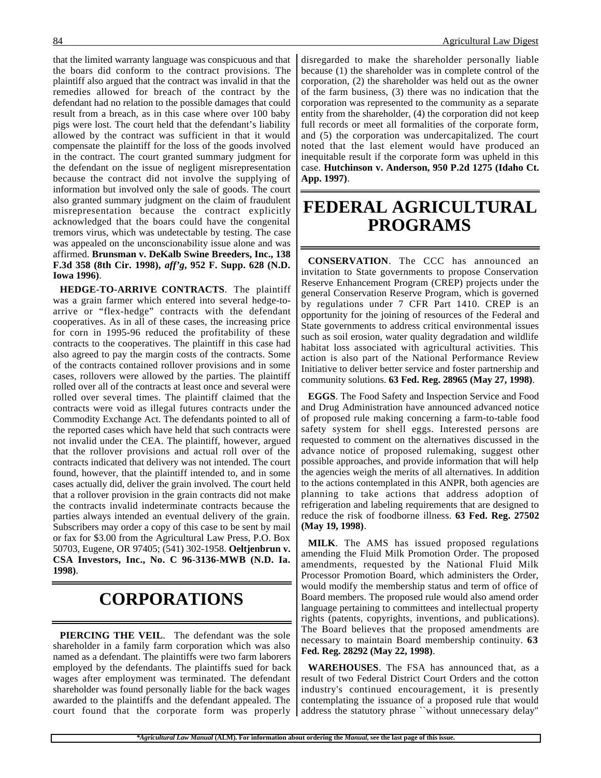that the limited warranty language was conspicuous and that the boars did conform to the contract provisions. The plaintiff also argued that the contract was invalid in that the remedies allowed for breach of the contract by the defendant had no relation to the possible damages that could result from a breach, as in this case where over 100 baby pigs were lost. The court held that the defendant's liability allowed by the contract was sufficient in that it would compensate the plaintiff for the loss of the goods involved in the contract. The court granted summary judgment for the defendant on the issue of negligent misrepresentation because the contract did not involve the supplying of information but involved only the sale of goods. The court also granted summary judgment on the claim of fraudulent misrepresentation because the contract explicitly acknowledged that the boars could have the congenital tremors virus, which was undetectable by testing. The case was appealed on the unconscionability issue alone and was affirmed. **Brunsman v. DeKalb Swine Breeders, Inc., 138 F.3d 358 (8th Cir. 1998),** *aff'g***, 952 F. Supp. 628 (N.D. Iowa 1996)**.

**HEDGE-TO-ARRIVE CONTRACTS**. The plaintiff was a grain farmer which entered into several hedge-toarrive or "flex-hedge" contracts with the defendant cooperatives. As in all of these cases, the increasing price for corn in 1995-96 reduced the profitability of these contracts to the cooperatives. The plaintiff in this case had also agreed to pay the margin costs of the contracts. Some of the contracts contained rollover provisions and in some cases, rollovers were allowed by the parties. The plaintiff rolled over all of the contracts at least once and several were rolled over several times. The plaintiff claimed that the contracts were void as illegal futures contracts under the Commodity Exchange Act. The defendants pointed to all of the reported cases which have held that such contracts were not invalid under the CEA. The plaintiff, however, argued that the rollover provisions and actual roll over of the contracts indicated that delivery was not intended. The court found, however, that the plaintiff intended to, and in some cases actually did, deliver the grain involved. The court held that a rollover provision in the grain contracts did not make the contracts invalid indeterminate contracts because the parties always intended an eventual delivery of the grain. Subscribers may order a copy of this case to be sent by mail or fax for \$3.00 from the Agricultural Law Press, P.O. Box 50703, Eugene, OR 97405; (541) 302-1958. **Oeltjenbrun v. CSA Investors, Inc., No. C 96-3136-MWB (N.D. Ia. 1998)**.

### **CORPORATIONS**

**PIERCING THE VEIL**. The defendant was the sole shareholder in a family farm corporation which was also named as a defendant. The plaintiffs were two farm laborers employed by the defendants. The plaintiffs sued for back wages after employment was terminated. The defendant shareholder was found personally liable for the back wages awarded to the plaintiffs and the defendant appealed. The court found that the corporate form was properly

disregarded to make the shareholder personally liable because (1) the shareholder was in complete control of the corporation, (2) the shareholder was held out as the owner of the farm business, (3) there was no indication that the corporation was represented to the community as a separate entity from the shareholder, (4) the corporation did not keep full records or meet all formalities of the corporate form, and (5) the corporation was undercapitalized. The court noted that the last element would have produced an inequitable result if the corporate form was upheld in this case. **Hutchinson v. Anderson, 950 P.2d 1275 (Idaho Ct. App. 1997)**.

### **FEDERAL AGRICULTURAL PROGRAMS**

**CONSERVATION**. The CCC has announced an invitation to State governments to propose Conservation Reserve Enhancement Program (CREP) projects under the general Conservation Reserve Program, which is governed by regulations under 7 CFR Part 1410. CREP is an opportunity for the joining of resources of the Federal and State governments to address critical environmental issues such as soil erosion, water quality degradation and wildlife habitat loss associated with agricultural activities. This action is also part of the National Performance Review Initiative to deliver better service and foster partnership and community solutions. **63 Fed. Reg. 28965 (May 27, 1998)**.

**EGGS**. The Food Safety and Inspection Service and Food and Drug Administration have announced advanced notice of proposed rule making concerning a farm-to-table food safety system for shell eggs. Interested persons are requested to comment on the alternatives discussed in the advance notice of proposed rulemaking, suggest other possible approaches, and provide information that will help the agencies weigh the merits of all alternatives. In addition to the actions contemplated in this ANPR, both agencies are planning to take actions that address adoption of refrigeration and labeling requirements that are designed to reduce the risk of foodborne illness. **63 Fed. Reg. 27502 (May 19, 1998)**.

**MILK**. The AMS has issued proposed regulations amending the Fluid Milk Promotion Order. The proposed amendments, requested by the National Fluid Milk Processor Promotion Board, which administers the Order, would modify the membership status and term of office of Board members. The proposed rule would also amend order language pertaining to committees and intellectual property rights (patents, copyrights, inventions, and publications). The Board believes that the proposed amendments are necessary to maintain Board membership continuity. **63 Fed. Reg. 28292 (May 22, 1998)**.

**WAREHOUSES**. The FSA has announced that, as a result of two Federal District Court Orders and the cotton industry's continued encouragement, it is presently contemplating the issuance of a proposed rule that would address the statutory phrase ``without unnecessary delay''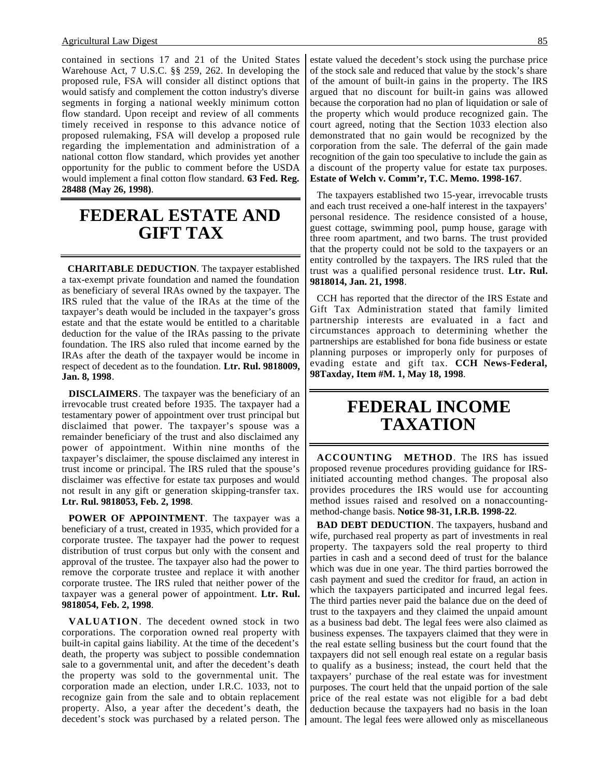contained in sections 17 and 21 of the United States Warehouse Act, 7 U.S.C. §§ 259, 262. In developing the proposed rule, FSA will consider all distinct options that would satisfy and complement the cotton industry's diverse segments in forging a national weekly minimum cotton flow standard. Upon receipt and review of all comments timely received in response to this advance notice of proposed rulemaking, FSA will develop a proposed rule regarding the implementation and administration of a national cotton flow standard, which provides yet another opportunity for the public to comment before the USDA would implement a final cotton flow standard. **63 Fed. Reg. 28488 (May 26, 1998)**.

### **FEDERAL ESTATE AND GIFT TAX**

 **CHARITABLE DEDUCTION**. The taxpayer established a tax-exempt private foundation and named the foundation as beneficiary of several IRAs owned by the taxpayer. The IRS ruled that the value of the IRAs at the time of the taxpayer's death would be included in the taxpayer's gross estate and that the estate would be entitled to a charitable deduction for the value of the IRAs passing to the private foundation. The IRS also ruled that income earned by the IRAs after the death of the taxpayer would be income in respect of decedent as to the foundation. **Ltr. Rul. 9818009, Jan. 8, 1998**.

**DISCLAIMERS**. The taxpayer was the beneficiary of an irrevocable trust created before 1935. The taxpayer had a testamentary power of appointment over trust principal but disclaimed that power. The taxpayer's spouse was a remainder beneficiary of the trust and also disclaimed any power of appointment. Within nine months of the taxpayer's disclaimer, the spouse disclaimed any interest in trust income or principal. The IRS ruled that the spouse's disclaimer was effective for estate tax purposes and would not result in any gift or generation skipping-transfer tax. **Ltr. Rul. 9818053, Feb. 2, 1998**.

**POWER OF APPOINTMENT**. The taxpayer was a beneficiary of a trust, created in 1935, which provided for a corporate trustee. The taxpayer had the power to request distribution of trust corpus but only with the consent and approval of the trustee. The taxpayer also had the power to remove the corporate trustee and replace it with another corporate trustee. The IRS ruled that neither power of the taxpayer was a general power of appointment. **Ltr. Rul. 9818054, Feb. 2, 1998**.

**VALUATION**. The decedent owned stock in two corporations. The corporation owned real property with built-in capital gains liability. At the time of the decedent's death, the property was subject to possible condemnation sale to a governmental unit, and after the decedent's death the property was sold to the governmental unit. The corporation made an election, under I.R.C. 1033, not to recognize gain from the sale and to obtain replacement property. Also, a year after the decedent's death, the decedent's stock was purchased by a related person. The

estate valued the decedent's stock using the purchase price of the stock sale and reduced that value by the stock's share of the amount of built-in gains in the property. The IRS argued that no discount for built-in gains was allowed because the corporation had no plan of liquidation or sale of the property which would produce recognized gain. The court agreed, noting that the Section 1033 election also demonstrated that no gain would be recognized by the corporation from the sale. The deferral of the gain made recognition of the gain too speculative to include the gain as a discount of the property value for estate tax purposes. **Estate of Welch v. Comm'r, T.C. Memo. 1998-167**.

The taxpayers established two 15-year, irrevocable trusts and each trust received a one-half interest in the taxpayers' personal residence. The residence consisted of a house, guest cottage, swimming pool, pump house, garage with three room apartment, and two barns. The trust provided that the property could not be sold to the taxpayers or an entity controlled by the taxpayers. The IRS ruled that the trust was a qualified personal residence trust. **Ltr. Rul. 9818014, Jan. 21, 1998**.

CCH has reported that the director of the IRS Estate and Gift Tax Administration stated that family limited partnership interests are evaluated in a fact and circumstances approach to determining whether the partnerships are established for bona fide business or estate planning purposes or improperly only for purposes of evading estate and gift tax. **CCH News-Federal, 98Taxday, Item #M. 1, May 18, 1998**.

### **FEDERAL INCOME TAXATION**

**ACCOUNTING METHOD**. The IRS has issued proposed revenue procedures providing guidance for IRSinitiated accounting method changes. The proposal also provides procedures the IRS would use for accounting method issues raised and resolved on a nonaccountingmethod-change basis. **Notice 98-31, I.R.B. 1998-22**.

**BAD DEBT DEDUCTION.** The taxpayers, husband and wife, purchased real property as part of investments in real property. The taxpayers sold the real property to third parties in cash and a second deed of trust for the balance which was due in one year. The third parties borrowed the cash payment and sued the creditor for fraud, an action in which the taxpayers participated and incurred legal fees. The third parties never paid the balance due on the deed of trust to the taxpayers and they claimed the unpaid amount as a business bad debt. The legal fees were also claimed as business expenses. The taxpayers claimed that they were in the real estate selling business but the court found that the taxpayers did not sell enough real estate on a regular basis to qualify as a business; instead, the court held that the taxpayers' purchase of the real estate was for investment purposes. The court held that the unpaid portion of the sale price of the real estate was not eligible for a bad debt deduction because the taxpayers had no basis in the loan amount. The legal fees were allowed only as miscellaneous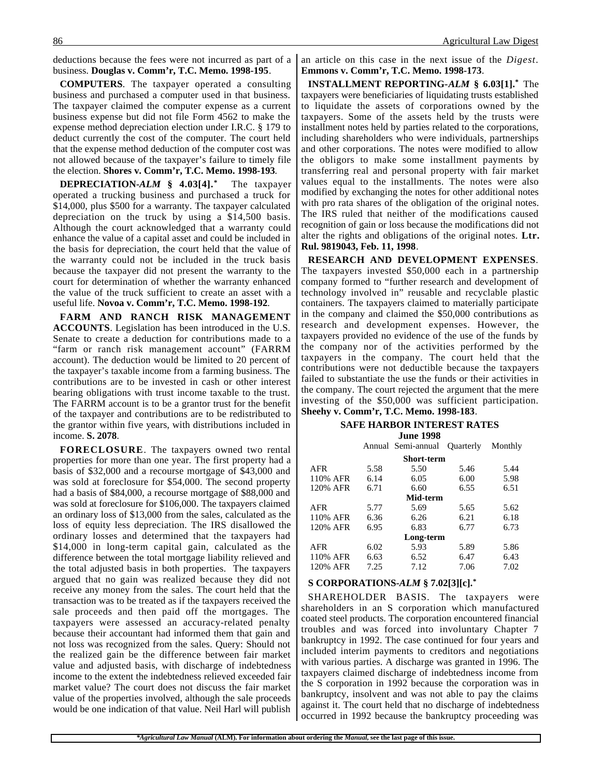deductions because the fees were not incurred as part of a business. **Douglas v. Comm'r, T.C. Memo. 1998-195**.

**COMPUTERS**. The taxpayer operated a consulting business and purchased a computer used in that business. The taxpayer claimed the computer expense as a current business expense but did not file Form 4562 to make the expense method depreciation election under I.R.C. § 179 to deduct currently the cost of the computer. The court held that the expense method deduction of the computer cost was not allowed because of the taxpayer's failure to timely file the election. **Shores v. Comm'r, T.C. Memo. 1998-193**.

**DEPRECIATION-***ALM* **§ 4.03[4].\*** The taxpayer operated a trucking business and purchased a truck for \$14,000, plus \$500 for a warranty. The taxpayer calculated depreciation on the truck by using a \$14,500 basis. Although the court acknowledged that a warranty could enhance the value of a capital asset and could be included in the basis for depreciation, the court held that the value of the warranty could not be included in the truck basis because the taxpayer did not present the warranty to the court for determination of whether the warranty enhanced the value of the truck sufficient to create an asset with a useful life. **Novoa v. Comm'r, T.C. Memo. 1998-192**.

**FARM AND RANCH RISK MANAGEMENT ACCOUNTS**. Legislation has been introduced in the U.S. Senate to create a deduction for contributions made to a "farm or ranch risk management account" (FARRM account). The deduction would be limited to 20 percent of the taxpayer's taxable income from a farming business. The contributions are to be invested in cash or other interest bearing obligations with trust income taxable to the trust. The FARRM account is to be a grantor trust for the benefit of the taxpayer and contributions are to be redistributed to the grantor within five years, with distributions included in income. **S. 2078**.

**FORECLOSURE**. The taxpayers owned two rental properties for more than one year. The first property had a basis of \$32,000 and a recourse mortgage of \$43,000 and was sold at foreclosure for \$54,000. The second property had a basis of \$84,000, a recourse mortgage of \$88,000 and was sold at foreclosure for \$106,000. The taxpayers claimed an ordinary loss of \$13,000 from the sales, calculated as the loss of equity less depreciation. The IRS disallowed the ordinary losses and determined that the taxpayers had \$14,000 in long-term capital gain, calculated as the difference between the total mortgage liability relieved and the total adjusted basis in both properties. The taxpayers argued that no gain was realized because they did not receive any money from the sales. The court held that the transaction was to be treated as if the taxpayers received the sale proceeds and then paid off the mortgages. The taxpayers were assessed an accuracy-related penalty because their accountant had informed them that gain and not loss was recognized from the sales. Query: Should not the realized gain be the difference between fair market value and adjusted basis, with discharge of indebtedness income to the extent the indebtedness relieved exceeded fair market value? The court does not discuss the fair market value of the properties involved, although the sale proceeds would be one indication of that value. Neil Harl will publish

an article on this case in the next issue of the *Digest*. **Emmons v. Comm'r, T.C. Memo. 1998-173**.

**INSTALLMENT REPORTING-***ALM* **§ 6.03[1].\*** The taxpayers were beneficiaries of liquidating trusts established to liquidate the assets of corporations owned by the taxpayers. Some of the assets held by the trusts were installment notes held by parties related to the corporations, including shareholders who were individuals, partnerships and other corporations. The notes were modified to allow the obligors to make some installment payments by transferring real and personal property with fair market values equal to the installments. The notes were also modified by exchanging the notes for other additional notes with pro rata shares of the obligation of the original notes. The IRS ruled that neither of the modifications caused recognition of gain or loss because the modifications did not alter the rights and obligations of the original notes. **Ltr. Rul. 9819043, Feb. 11, 1998**.

**RESEARCH AND DEVELOPMENT EXPENSES**. The taxpayers invested \$50,000 each in a partnership company formed to "further research and development of technology involved in" reusable and recyclable plastic containers. The taxpayers claimed to materially participate in the company and claimed the \$50,000 contributions as research and development expenses. However, the taxpayers provided no evidence of the use of the funds by the company nor of the activities performed by the taxpayers in the company. The court held that the contributions were not deductible because the taxpayers failed to substantiate the use the funds or their activities in the company. The court rejected the argument that the mere investing of the \$50,000 was sufficient participation.

#### **Sheehy v. Comm'r, T.C. Memo. 1998-183**.

**SAFE HARBOR INTEREST RATES June 1998**

|            |      | Annual Semi-annual | Quarterly | Monthly |
|------------|------|--------------------|-----------|---------|
|            |      | Short-term         |           |         |
| <b>AFR</b> | 5.58 | 5.50               | 5.46      | 5.44    |
| 110% AFR   | 6.14 | 6.05               | 6.00      | 5.98    |
| 120% AFR   | 6.71 | 6.60               | 6.55      | 6.51    |
| Mid-term   |      |                    |           |         |
| <b>AFR</b> | 5.77 | 5.69               | 5.65      | 5.62    |
| 110% AFR   | 6.36 | 6.26               | 6.21      | 6.18    |
| 120% AFR   | 6.95 | 6.83               | 6.77      | 6.73    |
|            |      | Long-term          |           |         |
| <b>AFR</b> | 6.02 | 5.93               | 5.89      | 5.86    |
| 110% AFR   | 6.63 | 6.52               | 6.47      | 6.43    |
| 120% AFR   | 7.25 | 7.12               | 7.06      | 7.02    |

#### **S CORPORATIONS-***ALM* **§ 7.02[3][c].\***

SHAREHOLDER BASIS. The taxpayers were shareholders in an S corporation which manufactured coated steel products. The corporation encountered financial troubles and was forced into involuntary Chapter 7 bankruptcy in 1992. The case continued for four years and included interim payments to creditors and negotiations with various parties. A discharge was granted in 1996. The taxpayers claimed discharge of indebtedness income from the S corporation in 1992 because the corporation was in bankruptcy, insolvent and was not able to pay the claims against it. The court held that no discharge of indebtedness occurred in 1992 because the bankruptcy proceeding was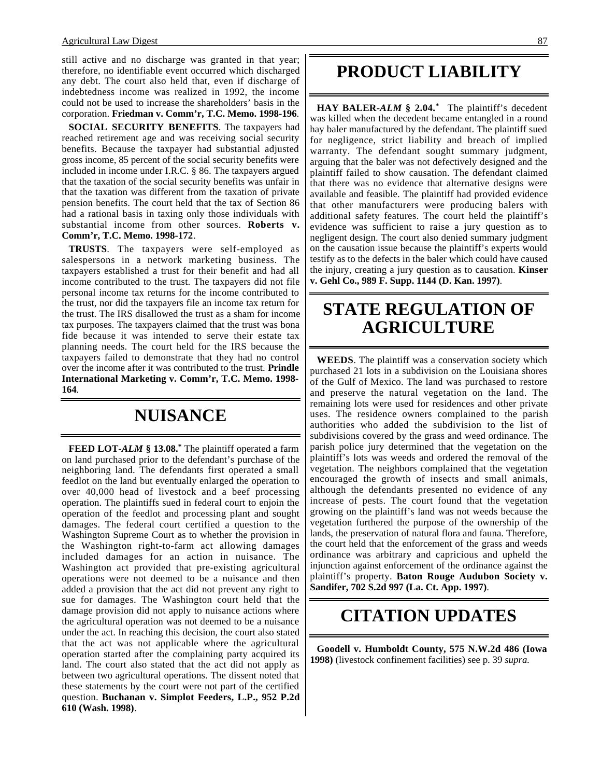still active and no discharge was granted in that year; therefore, no identifiable event occurred which discharged any debt. The court also held that, even if discharge of indebtedness income was realized in 1992, the income could not be used to increase the shareholders' basis in the corporation. **Friedman v. Comm'r, T.C. Memo. 1998-196**.

**SOCIAL SECURITY BENEFITS**. The taxpayers had reached retirement age and was receiving social security benefits. Because the taxpayer had substantial adjusted gross income, 85 percent of the social security benefits were included in income under I.R.C. § 86. The taxpayers argued that the taxation of the social security benefits was unfair in that the taxation was different from the taxation of private pension benefits. The court held that the tax of Section 86 had a rational basis in taxing only those individuals with substantial income from other sources. **Roberts v. Comm'r, T.C. Memo. 1998-172**.

**TRUSTS**. The taxpayers were self-employed as salespersons in a network marketing business. The taxpayers established a trust for their benefit and had all income contributed to the trust. The taxpayers did not file personal income tax returns for the income contributed to the trust, nor did the taxpayers file an income tax return for the trust. The IRS disallowed the trust as a sham for income tax purposes. The taxpayers claimed that the trust was bona fide because it was intended to serve their estate tax planning needs. The court held for the IRS because the taxpayers failed to demonstrate that they had no control over the income after it was contributed to the trust. **Prindle International Marketing v. Comm'r, T.C. Memo. 1998- 164**.

### **NUISANCE**

**FEED LOT-***ALM* **§ 13.08.\*** The plaintiff operated a farm on land purchased prior to the defendant's purchase of the neighboring land. The defendants first operated a small feedlot on the land but eventually enlarged the operation to over 40,000 head of livestock and a beef processing operation. The plaintiffs sued in federal court to enjoin the operation of the feedlot and processing plant and sought damages. The federal court certified a question to the Washington Supreme Court as to whether the provision in the Washington right-to-farm act allowing damages included damages for an action in nuisance. The Washington act provided that pre-existing agricultural operations were not deemed to be a nuisance and then added a provision that the act did not prevent any right to sue for damages. The Washington court held that the damage provision did not apply to nuisance actions where the agricultural operation was not deemed to be a nuisance under the act. In reaching this decision, the court also stated that the act was not applicable where the agricultural operation started after the complaining party acquired its land. The court also stated that the act did not apply as between two agricultural operations. The dissent noted that these statements by the court were not part of the certified question. **Buchanan v. Simplot Feeders, L.P., 952 P.2d 610 (Wash. 1998)**.

### **PRODUCT LIABILITY**

**HAY BALER-***ALM* **§ 2.04.\*** The plaintiff's decedent was killed when the decedent became entangled in a round hay baler manufactured by the defendant. The plaintiff sued for negligence, strict liability and breach of implied warranty. The defendant sought summary judgment, arguing that the baler was not defectively designed and the plaintiff failed to show causation. The defendant claimed that there was no evidence that alternative designs were available and feasible. The plaintiff had provided evidence that other manufacturers were producing balers with additional safety features. The court held the plaintiff's evidence was sufficient to raise a jury question as to negligent design. The court also denied summary judgment on the causation issue because the plaintiff's experts would testify as to the defects in the baler which could have caused the injury, creating a jury question as to causation. **Kinser v. Gehl Co., 989 F. Supp. 1144 (D. Kan. 1997)**.

### **STATE REGULATION OF AGRICULTURE**

**WEEDS**. The plaintiff was a conservation society which purchased 21 lots in a subdivision on the Louisiana shores of the Gulf of Mexico. The land was purchased to restore and preserve the natural vegetation on the land. The remaining lots were used for residences and other private uses. The residence owners complained to the parish authorities who added the subdivision to the list of subdivisions covered by the grass and weed ordinance. The parish police jury determined that the vegetation on the plaintiff's lots was weeds and ordered the removal of the vegetation. The neighbors complained that the vegetation encouraged the growth of insects and small animals, although the defendants presented no evidence of any increase of pests. The court found that the vegetation growing on the plaintiff's land was not weeds because the vegetation furthered the purpose of the ownership of the lands, the preservation of natural flora and fauna. Therefore, the court held that the enforcement of the grass and weeds ordinance was arbitrary and capricious and upheld the injunction against enforcement of the ordinance against the plaintiff's property. **Baton Rouge Audubon Society v. Sandifer, 702 S.2d 997 (La. Ct. App. 1997)**.

### **CITATION UPDATES**

**Goodell v. Humboldt County, 575 N.W.2d 486 (Iowa 1998)** (livestock confinement facilities) see p. 39 *supra*.